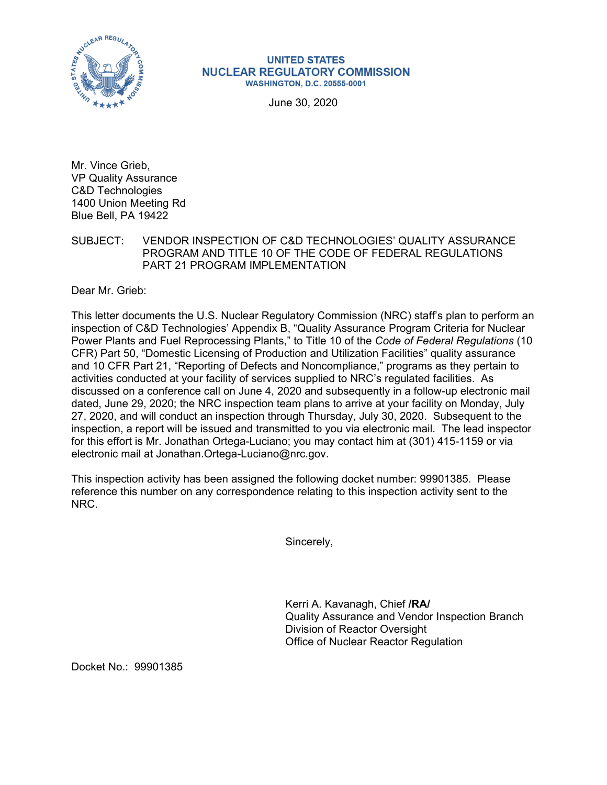

## **UNITED STATES NUCLEAR REGULATORY COMMISSION WASHINGTON, D.C. 20555-0001**

June 30, 2020

Mr. Vince Grieb, VP Quality Assurance C&D Technologies 1400 Union Meeting Rd Blue Bell, PA 19422

SUBJECT: VENDOR INSPECTION OF C&D TECHNOLOGIES' QUALITY ASSURANCE PROGRAM AND TITLE 10 OF THE CODE OF FEDERAL REGULATIONS PART 21 PROGRAM IMPLEMENTATION

Dear Mr. Grieb:

This letter documents the U.S. Nuclear Regulatory Commission (NRC) staff's plan to perform an inspection of C&D Technologies' Appendix B, "Quality Assurance Program Criteria for Nuclear Power Plants and Fuel Reprocessing Plants," to Title 10 of the *Code of Federal Regulations* (10 CFR) Part 50, "Domestic Licensing of Production and Utilization Facilities" quality assurance and 10 CFR Part 21, "Reporting of Defects and Noncompliance," programs as they pertain to activities conducted at your facility of services supplied to NRC's regulated facilities. As discussed on a conference call on June 4, 2020 and subsequently in a follow-up electronic mail dated, June 29, 2020; the NRC inspection team plans to arrive at your facility on Monday, July 27, 2020, and will conduct an inspection through Thursday, July 30, 2020. Subsequent to the inspection, a report will be issued and transmitted to you via electronic mail. The lead inspector for this effort is Mr. Jonathan Ortega-Luciano; you may contact him at (301) 415-1159 or via electronic mail at Jonathan.Ortega-Luciano@nrc.gov.

This inspection activity has been assigned the following docket number: 99901385. Please reference this number on any correspondence relating to this inspection activity sent to the NRC.

Sincerely,

Kerri A. Kavanagh, Chief **/RA/**  Quality Assurance and Vendor Inspection Branch Division of Reactor Oversight Office of Nuclear Reactor Regulation

Docket No.: 99901385